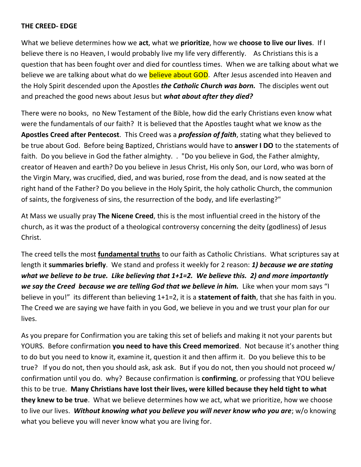## **THE CREED- EDGE**

What we believe determines how we **act**, what we **prioritize**, how we **choose to live our lives**. If I believe there is no Heaven, I would probably live my life very differently. As Christians this is a question that has been fought over and died for countless times. When we are talking about what we believe we are talking about what do we **believe about GOD**. After Jesus ascended into Heaven and the Holy Spirit descended upon the Apostles *the Catholic Church was born.* The disciples went out and preached the good news about Jesus but *what about after they died?*

There were no books, no New Testament of the Bible, how did the early Christians even know what were the fundamentals of our faith? It is believed that the Apostles taught what we know as the **Apostles Creed after Pentecost**. This Creed was a *profession of faith*, stating what they believed to be true about God. Before being Baptized, Christians would have to **answer I DO** to the statements of faith. Do you believe in God the father almighty. . "Do you believe in God, the Father almighty, creator of Heaven and earth? Do you believe in Jesus Christ, His only Son, our Lord, who was born of the Virgin Mary, was crucified, died, and was buried, rose from the dead, and is now seated at the right hand of the Father? Do you believe in the Holy Spirit, the holy catholic Church, the communion of saints, the forgiveness of sins, the resurrection of the body, and life everlasting?"

At Mass we usually pray **The Nicene Creed**, this is the most influential creed in the history of the church, as it was the product of a theological controversy concerning the deity (godliness) of Jesus Christ.

The creed tells the most **fundamental truths** to our faith as Catholic Christians. What scriptures say at length it **summaries briefly**. We stand and profess it weekly for 2 reason: *1) because we are stating what we believe to be true. Like believing that 1+1=2. We believe this. 2) and more importantly we say the Creed because we are telling God that we believe in him.* Like when your mom says "I believe in you!" its different than believing 1+1=2, it is a **statement of faith**, that she has faith in you. The Creed we are saying we have faith in you God, we believe in you and we trust your plan for our lives.

As you prepare for Confirmation you are taking this set of beliefs and making it not your parents but YOURS. Before confirmation **you need to have this Creed memorized**. Not because it's another thing to do but you need to know it, examine it, question it and then affirm it. Do you believe this to be true? If you do not, then you should ask, ask ask. But if you do not, then you should not proceed w/ confirmation until you do. why? Because confirmation is **confirming**, or professing that YOU believe this to be true. **Many Christians have lost their lives, were killed because they held tight to what they knew to be true**. What we believe determines how we act, what we prioritize, how we choose to live our lives. *Without knowing what you believe you will never know who you are*; w/o knowing what you believe you will never know what you are living for.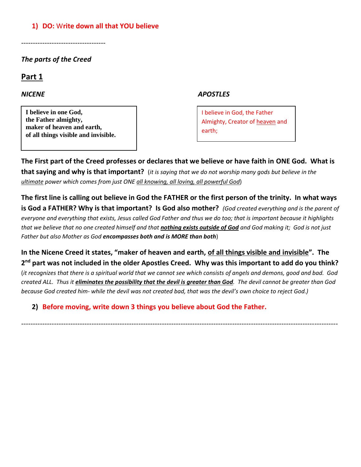## **1) DO:** W**rite down all that YOU believe**

------------------------------------

## *The parts of the Creed*

# **Part 1**

**I believe in one God, the Father almighty, maker of heaven and earth, of all things visible and invisible.**

#### *NICENE APOSTLES*

I believe in God, the Father Almighty, Creator of [heaven](http://www.catholic.org/encyclopedia/view.php?id=5593) and earth;

**The First part of the Creed professes or declares that we believe or have faith in ONE God. What is that saying and why is that important?** (*it is saying that we do not worship many gods but believe in the ultimate power which comes from just ONE all knowing, all loving, all powerful God*)

**The first line is calling out believe in God the FATHER or the first person of the trinity. In what ways is God a FATHER? Why is that important? Is God also mother?** *(God created everything and is the parent of everyone and everything that exists, Jesus called God Father and thus we do too; that is important because it highlights that we believe that no one created himself and that nothing exists outside of God and God making it; God is not just Father but also Mother as God encompasses both and is MORE than both*)

**In the Nicene Creed it states, "maker of heaven and earth, of all things visible and invisible". The 2 nd part was not included in the older Apostles Creed. Why was this important to add do you think?** (*it recognizes that there is a spiritual world that we cannot see which consists of angels and demons, good and bad. God created ALL. Thus it eliminates the possibility that the devil is greater than God. The devil cannot be greater than God because God created him- while the devil was not created bad, that was the devil's own choice to reject God.)*

*---------------------------------------------------------------------------------------------------------------------------------------*

**2) Before moving, write down 3 things you believe about God the Father.**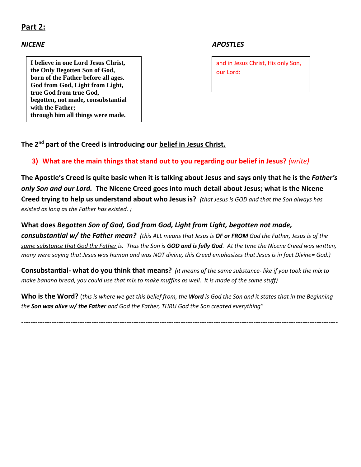# **Part 2:**

**I believe in one Lord Jesus Christ, the Only Begotten Son of God, born of the Father before all ages. God from God, Light from Light, true God from true God, begotten, not made, consubstantial with the Father; through him all things were made.**

## *NICENE APOSTLES*

and in [Jesus](http://www.catholic.org/clife/jesus) Christ, His only Son, our Lord:

**The 2nd part of the Creed is introducing our belief in Jesus Christ.** 

## **3) What are the main things that stand out to you regarding our belief in Jesus?** *(write)*

**The Apostle's Creed is quite basic when it is talking about Jesus and says only that he is the** *Father's only Son and our Lord.* **The Nicene Creed goes into much detail about Jesus; what is the Nicene Creed trying to help us understand about who Jesus is?** *(that Jesus is GOD and that the Son always has existed as long as the Father has existed. )*

## **What does** *Begotten Son of God, God from God, Light from Light, begotten not made,*

*consubstantial w/ the Father mean? (this ALL means that Jesus is OF or FROM God the Father, Jesus is of the same substance that God the Father is. Thus the Son is GOD and is fully God. At the time the Nicene Creed was written, many were saying that Jesus was human and was NOT divine, this Creed emphasizes that Jesus is in fact Divine= God.)*

**Consubstantial- what do you think that means?** *(it means of the same substance- like if you took the mix to make banana bread, you could use that mix to make muffins as well. It is made of the same stuff)*

**Who is the Word?** (*this is where we get this belief from, the Word is God the Son and it states that in the Beginning the Son was alive w/ the Father and God the Father, THRU God the Son created everything"*

---------------------------------------------------------------------------------------------------------------------------------------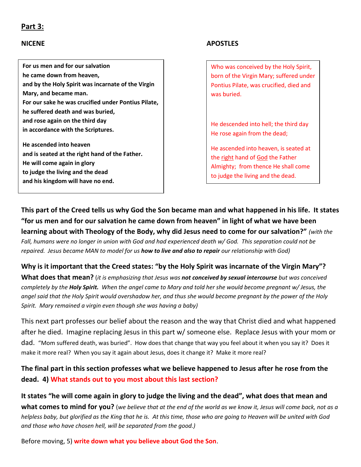## **Part 3:**

**For us men and for our salvation he came down from heaven, and by the Holy Spirit was incarnate of the Virgin Mary, and became man. For our sake he was crucified under Pontius Pilate, he suffered death and was buried, and rose again on the third day in accordance with the Scriptures.**

**He ascended into heaven and is seated at the right hand of the Father. He will come again in glory to judge the living and the dead and his kingdom will have no end.**

## **NICENE** APOSTLES

Who was conceived by the Holy Spirit, born of the Virgin Mary; suffered under Pontius Pilate, was crucified, died and was buried.

He descended into hell; the third day He rose again from the dead;

He ascended into heaven, is seated at the [right](http://www.catholic.org/encyclopedia/view.php?id=10046) hand o[f God](http://www.catholic.org/encyclopedia/view.php?id=5217) the Father Almighty; from thence He shall come to judge the living and the dead.

**This part of the Creed tells us why God the Son became man and what happened in his life. It states "for us men and for our salvation he came down from heaven" in light of what we have been learning about with Theology of the Body, why did Jesus need to come for our salvation?"** *(with the Fall, humans were no longer in union with God and had experienced death w/ God. This separation could not be repaired. Jesus became MAN to model for us how to live and also to repair our relationship with God)*

#### **Why is it important that the Creed states: "by the Holy Spirit was incarnate of the Virgin Mary"?**

**What does that mean?** (*it is emphasizing that Jesus was not conceived by sexual intercourse but was conceived completely by the Holy Spirit. When the angel came to Mary and told her she would become pregnant w/ Jesus, the angel said that the Holy Spirit would overshadow her, and thus she would become pregnant by the power of the Holy Spirit. Mary remained a virgin even though she was having a baby)*

This next part professes our belief about the reason and the way that Christ died and what happened after he died. Imagine replacing Jesus in this part w/ someone else. Replace Jesus with your mom or dad. "Mom suffered death, was buried". How does that change that way you feel about it when you say it? Does it make it more real? When you say it again about Jesus, does it change it? Make it more real?

## **The final part in this section professes what we believe happened to Jesus after he rose from the dead. 4) What stands out to you most about this last section?**

**It states "he will come again in glory to judge the living and the dead", what does that mean and what comes to mind for you?** (*we believe that at the end of the world as we know it, Jesus will come back, not as a helpless baby, but glorified as the King that he is. At this time, those who are going to Heaven will be united with God and those who have chosen hell, will be separated from the good.)*

Before moving, 5) **write down what you believe about God the Son**.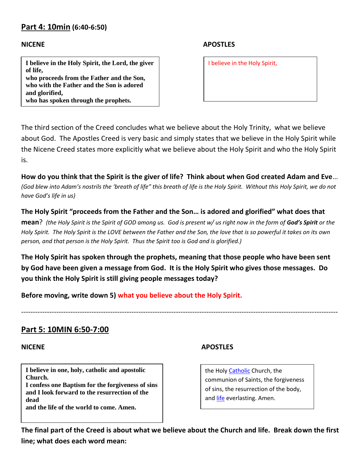# **Part 4: 10min (6:40-6:50)**

**I believe in the Holy Spirit, the Lord, the giver of life, who proceeds from the Father and the Son, who with the Father and the Son is adored and glorified,**

**who has spoken through the prophets.**

## **NICENE APOSTLES**

I believe in the Holy Spirit,

The third section of the Creed concludes what we believe about the Holy Trinity, what we believe about God. The Apostles Creed is very basic and simply states that we believe in the Holy Spirit while the Nicene Creed states more explicitly what we believe about the Holy Spirit and who the Holy Spirit is.

**How do you think that the Spirit is the giver of life? Think about when God created Adam and Eve**… *(God blew into Adam's nostrils the 'breath of life" this breath of life is the Holy Spirit. Without this Holy Spirit, we do not have God's life in us)*

**The Holy Spirit "proceeds from the Father and the Son… is adored and glorified" what does that mean**? *(the Holy Spirit is the Spirit of GOD among us. God is present w/ us right now in the form of God's Spirit or the Holy Spirit. The Holy Spirit is the LOVE between the Father and the Son, the love that is so powerful it takes on its own* 

**The Holy Spirit has spoken through the prophets, meaning that those people who have been sent by God have been given a message from God. It is the Holy Spirit who gives those messages. Do you think the Holy Spirit is still giving people messages today?**

---------------------------------------------------------------------------------------------------------------------------------------

**Before moving, write down 5) what you believe about the Holy Spirit.**

*person, and that person is the Holy Spirit. Thus the Spirit too is God and is glorified.)*

## **Part 5: 10MIN 6:50-7:00**

**I believe in one, holy, catholic and apostolic Church. I confess one Baptism for the forgiveness of sins and I look forward to the resurrection of the dead and the life of the world to come. Amen.**

## **NICENE APOSTLES**

the Holy [Catholic](http://www.catholic.org/encyclopedia/view.php?id=2678) Church, the communion of Saints, the forgiveness of sins, the resurrection of the body, and [life](http://www.catholic.org/encyclopedia/view.php?id=7101) everlasting. Amen.

**The final part of the Creed is about what we believe about the Church and life. Break down the first line; what does each word mean:**